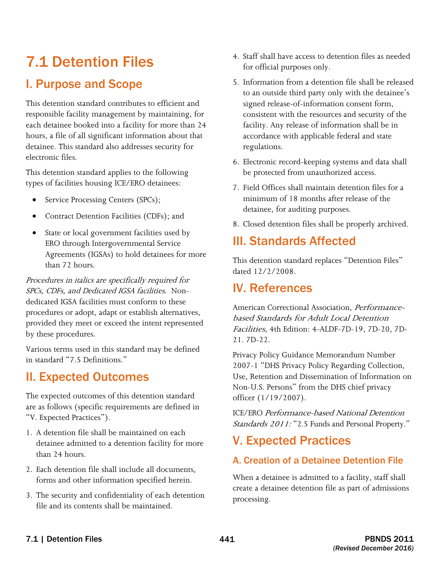# 7.1 Detention Files

### I. Purpose and Scope

This detention standard contributes to efficient and responsible facility management by maintaining, for each detainee booked into a facility for more than 24 hours, a file of all significant information about that detainee. This standard also addresses security for electronic files.

This detention standard applies to the following types of facilities housing ICE/ERO detainees:

- Service Processing Centers (SPCs);
- Contract Detention Facilities (CDFs); and
- State or local government facilities used by ERO through Intergovernmental Service Agreements (IGSAs) to hold detainees for more than 72 hours.

 SPCs, CDFs, and Dedicated IGSA facilities. Non-Procedures in italics are specifically required for dedicated IGSA facilities must conform to these procedures or adopt, adapt or establish alternatives, provided they meet or exceed the intent represented by these procedures.

Various terms used in this standard may be defined in standard "7.5 Definitions."

### II. Expected Outcomes

The expected outcomes of this detention standard are as follows (specific requirements are defined in "V. Expected Practices").

- 1. A detention file shall be maintained on each detainee admitted to a detention facility for more than 24 hours.
- 2. Each detention file shall include all documents, forms and other information specified herein.
- 3. The security and confidentiality of each detention file and its contents shall be maintained.
- 4. Staff shall have access to detention files as needed for official purposes only.
- 5. Information from a detention file shall be released to an outside third party only with the detainee's signed release-of-information consent form, consistent with the resources and security of the facility. Any release of information shall be in accordance with applicable federal and state regulations.
- 6. Electronic record-keeping systems and data shall be protected from unauthorized access.
- 7. Field Offices shall maintain detention files for a minimum of 18 months after release of the detainee, for auditing purposes.
- 8. Closed detention files shall be properly archived.

# III. Standards Affected

This detention standard replaces "Detention Files" dated 12/2/2008.

# IV. References

American Correctional Association, Performancebased Standards for Adult Local Detention Facilities, 4th Edition: 4-ALDF-7D-19, 7D-20, 7D-21. 7D-22.

 Privacy Policy Guidance Memorandum Number 2007-1 "DHS Privacy Policy Regarding Collection, Use, Retention and Dissemination of Information on Non-U.S. Persons" from the DHS chief privacy officer (1/19/2007).

ICE/ERO Performance-based National Detention Standards 2011: "2.5 Funds and Personal Property."

# V. Expected Practices

### A. Creation of a Detainee Detention File

When a detainee is admitted to a facility, staff shall create a detainee detention file as part of admissions processing.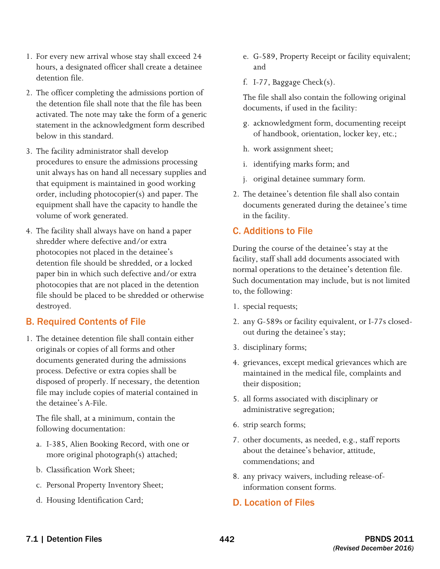- 1. For every new arrival whose stay shall exceed 24 hours, a designated officer shall create a detainee detention file.
- 2. The officer completing the admissions portion of the detention file shall note that the file has been activated. The note may take the form of a generic statement in the acknowledgment form described below in this standard.
- 3. The facility administrator shall develop procedures to ensure the admissions processing unit always has on hand all necessary supplies and that equipment is maintained in good working order, including photocopier(s) and paper. The equipment shall have the capacity to handle the volume of work generated.
- 4. The facility shall always have on hand a paper paper bin in which such defective and/or extra shredder where defective and/or extra photocopies not placed in the detainee's detention file should be shredded, or a locked photocopies that are not placed in the detention file should be placed to be shredded or otherwise destroyed.

#### B. Required Contents of File

1. The detainee detention file shall contain either originals or copies of all forms and other documents generated during the admissions process. Defective or extra copies shall be disposed of properly. If necessary, the detention file may include copies of material contained in the detainee's A-File.

The file shall, at a minimum, contain the following documentation:

- a. I-385, Alien Booking Record, with one or more original photograph(s) attached;
- b. Classification Work Sheet;
- c. Personal Property Inventory Sheet;
- d. Housing Identification Card;
- e. G-589, Property Receipt or facility equivalent; and
- f. I-77, Baggage Check $(s)$ .

The file shall also contain the following original documents, if used in the facility:

- g. acknowledgment form, documenting receipt of handbook, orientation, locker key, etc.;
- h. work assignment sheet;
- i. identifying marks form; and
- j. original detainee summary form.
- 2. The detainee's detention file shall also contain documents generated during the detainee's time in the facility.

#### C. Additions to File

During the course of the detainee's stay at the facility, staff shall add documents associated with normal operations to the detainee's detention file. Such documentation may include, but is not limited to, the following:

- 1. special requests;
- 2. any G-589s or facility equivalent, or I-77s closedout during the detainee's stay;
- 3. disciplinary forms;
- 4. grievances, except medical grievances which are maintained in the medical file, complaints and their disposition;
- 5. all forms associated with disciplinary or administrative segregation;
- 6. strip search forms;
- 7. other documents, as needed, e.g., staff reports about the detainee's behavior, attitude, commendations; and
- 8. any privacy waivers, including release-ofinformation consent forms.

#### D. Location of Files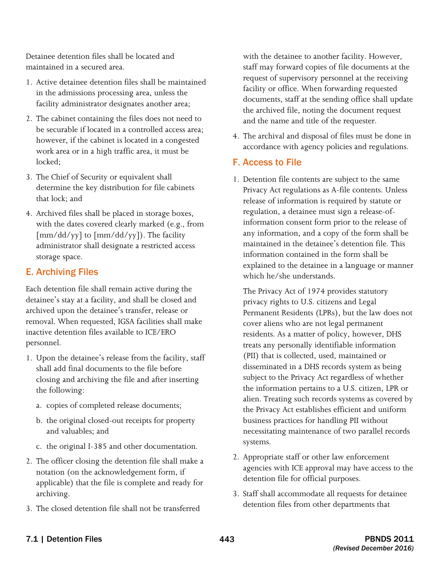Detainee detention files shall be located and maintained in a secured area.

- 1. Active detainee detention files shall be maintained in the admissions processing area, unless the facility administrator designates another area;
- however, if the cabinet is located in a congested 2. The cabinet containing the files does not need to be securable if located in a controlled access area; work area or in a high traffic area, it must be locked;
- 3. The Chief of Security or equivalent shall determine the key distribution for file cabinets that lock; and
- 4. Archived files shall be placed in storage boxes, with the dates covered clearly marked (e.g., from [mm/dd/yy] to [mm/dd/yy]). The facility administrator shall designate a restricted access storage space.

#### E. Archiving Files

Each detention file shall remain active during the detainee's stay at a facility, and shall be closed and archived upon the detainee's transfer, release or removal. When requested, IGSA facilities shall make inactive detention files available to ICE/ERO personnel.

- 1. Upon the detainee's release from the facility, staff shall add final documents to the file before closing and archiving the file and after inserting the following:
	- a. copies of completed release documents;
	- b. the original closed-out receipts for property and valuables; and
	- c. the original I-385 and other documentation.
- 2. The officer closing the detention file shall make a notation (on the acknowledgement form, if applicable) that the file is complete and ready for archiving.
- 3. The closed detention file shall not be transferred

with the detainee to another facility. However, staff may forward copies of file documents at the request of supervisory personnel at the receiving facility or office. When forwarding requested documents, staff at the sending office shall update the archived file, noting the document request and the name and title of the requester.

4. The archival and disposal of files must be done in accordance with agency policies and regulations.

#### F. Access to File

1. Detention file contents are subject to the same Privacy Act regulations as A-file contents. Unless release of information is required by statute or regulation, a detainee must sign a release-ofinformation consent form prior to the release of any information, and a copy of the form shall be maintained in the detainee's detention file. This information contained in the form shall be explained to the detainee in a language or manner which he/she understands.

The Privacy Act of 1974 provides statutory privacy rights to U.S. citizens and Legal Permanent Residents (LPRs), but the law does not cover aliens who are not legal permanent residents. As a matter of policy, however, DHS treats any personally identifiable information (PII) that is collected, used, maintained or disseminated in a DHS records system as being subject to the Privacy Act regardless of whether the information pertains to a U.S. citizen, LPR or alien. Treating such records systems as covered by the Privacy Act establishes efficient and uniform business practices for handling PII without necessitating maintenance of two parallel records systems.

- 2. Appropriate staff or other law enforcement agencies with ICE approval may have access to the detention file for official purposes.
- 3. Staff shall accommodate all requests for detainee detention files from other departments that